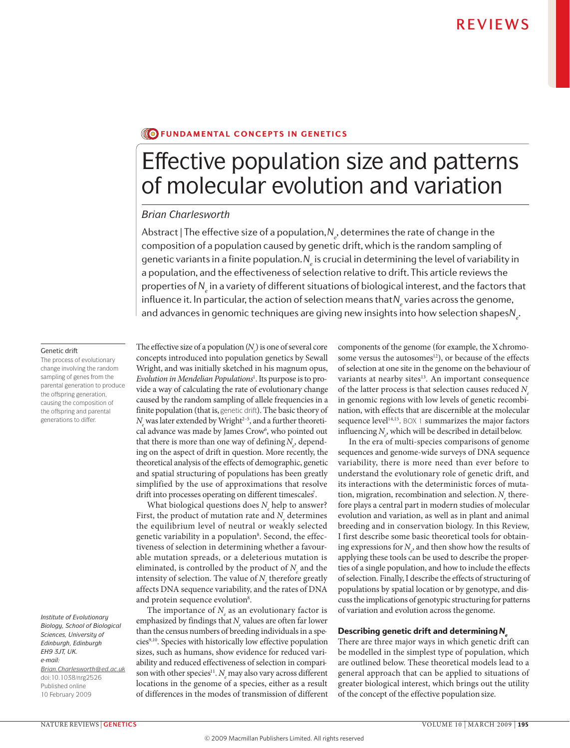## **CO FUNDAMENTAL CONCEPTS IN GENETICS**

# Effective population size and patterns of molecular evolution and variation

## *Brian Charlesworth*

Abstract | The effective size of a population, $N_{\!\scriptscriptstyle e}$ , determines the rate of change in the composition of a population caused by genetic drift, which is the random sampling of genetic variants in a finite population. $N_{_e}$  is crucial in determining the level of variability in a population, and the effectiveness of selection relative to drift. This article reviews the properties of  $N_{_e}$  in a variety of different situations of biological interest, and the factors that influence it. In particular, the action of selection means that $N_{_e}$  varies across the genome, and advances in genomic techniques are giving new insights into how selection shapes $\mathsf{N}_{_{\hspace{-0.05cm}e}}$ .

## Genetic drift

The process of evolutionary change involving the random sampling of genes from the parental generation to produce the offspring generation, causing the composition of the offspring and parental generations to differ.

*Institute of Evolutionary Biology, School of Biological Sciences, University of Edinburgh, Edinburgh EH9 3JT, UK. e-mail: [Brian.Charlesworth@ed.ac.uk](mailto:Brian.Charlesworth@ed.ac.uk)* doi:10.1038/nrg2526 Published online 10 February 2009

The effective size of a population  $(N_e)$  is one of several core concepts introduced into population genetics by Sewall Wright, and was initially sketched in his magnum opus, Evolution in Mendelian Populations<sup>1</sup>. Its purpose is to provide a way of calculating the rate of evolutionary change caused by the random sampling of allele frequencies in a finite population (that is, genetic drift). The basic theory of  $N_{e}$  was later extended by Wright<sup>2-5</sup>, and a further theoretical advance was made by James Crow<sup>6</sup>, who pointed out that there is more than one way of defining  $N_e$ , depending on the aspect of drift in question. More recently, the theoretical analysis of the effects of demographic, genetic and spatial structuring of populations has been greatly simplified by the use of approximations that resolve drift into processes operating on different timescales<sup>7</sup>.

What biological questions does  $N_e$  help to answer? First, the product of mutation rate and  $N_e$  determines the equilibrium level of neutral or weakly selected genetic variability in a population<sup>8</sup>. Second, the effectiveness of selection in determining whether a favourable mutation spreads, or a deleterious mutation is eliminated, is controlled by the product of  $N_e$  and the intensity of selection. The value of  $N_{e}$  therefore greatly affects DNA sequence variability, and the rates of DNA and protein sequence evolution<sup>8</sup>.

The importance of  $N_e$  as an evolutionary factor is emphasized by findings that  $N_e$  values are often far lower than the census numbers of breeding individuals in a species<sup>9,10</sup>. Species with historically low effective population sizes, such as humans, show evidence for reduced variability and reduced effectiveness of selection in comparison with other species<sup>11</sup>.  $N_e$  may also vary across different locations in the genome of a species, either as a result of differences in the modes of transmission of different

components of the genome (for example, the Xchromosome versus the autosomes<sup>12</sup>), or because of the effects of selection at one site in the genome on the behaviour of variants at nearby sites<sup>13</sup>. An important consequence of the latter process is that selection causes reduced  $N$ . in genomic regions with low levels of genetic recombination, with effects that are discernible at the molecular sequence level<sup>14,15</sup>. BOX 1 summarizes the major factors influencing  $N_{\scriptscriptstyle \rho}$ , which will be described in detail below.

In the era of multi-species comparisons of genome sequences and genome-wide surveys of DNA sequence variability, there is more need than ever before to understand the evolutionary role of genetic drift, and its interactions with the deterministic forces of mutation, migration, recombination and selection.  $N_{\scriptscriptstyle \rho}$  therefore plays a central part in modern studies of molecular evolution and variation, as well as in plant and animal breeding and in conservation biology. In this Review, I first describe some basic theoretical tools for obtaining expressions for  $N_e$ , and then show how the results of applying these tools can be used to describe the properties of a single population, and how to include the effects of selection. Finally, I describe the effects of structuring of populations by spatial location or by genotype, and discuss the implications of genotypic structuring for patterns of variation and evolution across the genome.

## Describing genetic drift and determining *N<sub>c</sub>*

There are three major ways in which genetic drift can be modelled in the simplest type of population, which are outlined below. These theoretical models lead to a general approach that can be applied to situations of greater biological interest, which brings out the utility of the concept of the effective population size.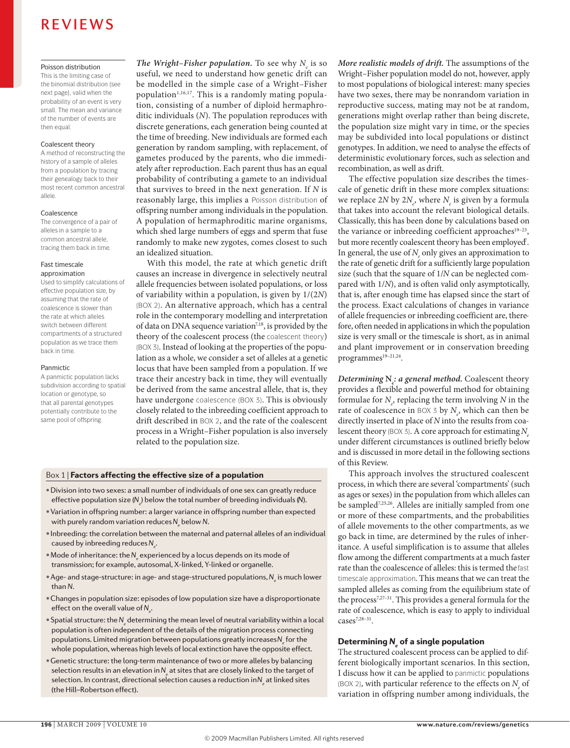### Poisson distribution

This is the limiting case of the binomial distribution (see next page), valid when the probability of an event is very small. The mean and variance of the number of events are then equal.

## Coalescent theory

A method of reconstructing the history of a sample of alleles from a population by tracing their genealogy back to their most recent common ancestral allele.

#### Coalescence

The convergence of a pair of alleles in a sample to a common ancestral allele, tracing them back in time.

#### Fast timescale approximation

Used to simplify calculations of effective population size, by assuming that the rate of coalescence is slower than the rate at which alleles switch between different compartments of a structured population as we trace them back in time.

#### Panmictic

A panmictic population lacks subdivision according to spatial location or genotype, so that all parental genotypes potentially contribute to the same pool of offspring.

The Wright-Fisher population. To see why  $N_e$  is so useful, we need to understand how genetic drift can be modelled in the simple case of a Wright–Fisher population<sup>1,16,17</sup>. This is a randomly mating population, consisting of a number of diploid hermaphroditic individuals (N). The population reproduces with discrete generations, each generation being counted at the time of breeding. New individuals are formed each generation by random sampling, with replacement, of gametes produced by the parents, who die immediately after reproduction. Each parent thus has an equal probability of contributing a gamete to an individual that survives to breed in the next generation. If  $N$  is reasonably large, this implies a Poisson distribution of offspring number among individuals in the population. A population of hermaphroditic marine organisms, which shed large numbers of eggs and sperm that fuse randomly to make new zygotes, comes closest to such an idealized situation.

With this model, the rate at which genetic drift causes an increase in divergence in selectively neutral allele frequencies between isolated populations, or loss of variability within a population, is given by 1/(2N) (BOX 2). An alternative approach, which has a central role in the contemporary modelling and interpretation of data on DNA sequence variation<sup>7,18</sup>, is provided by the theory of the coalescent process (the coalescent theory) (BOX 3). Instead of looking at the properties of the population as a whole, we consider a set of alleles at a genetic locus that have been sampled from a population. If we trace their ancestry back in time, they will eventually be derived from the same ancestral allele, that is, they have undergone coalescence (BOX 3). This is obviously closely related to the inbreeding coefficient approach to drift described in BOX 2, and the rate of the coalescent process in a Wright–Fisher population is also inversely related to the population size.

## Box 1 | Factors affecting the effective size of a population

- Division into two sexes: a small number of individuals of one sex can greatly reduce effective population size (N<sub>e</sub>) below the total number of breeding individuals (N).
- Variation in offspring number: a larger variance in offspring number than expected with purely random variation reduces  $N_{_e}$  below  $N_{\cdot}$
- Inbreeding: the correlation between the maternal and paternal alleles of an individual caused by inbreeding reduces N<sub>e</sub>.
- $\bullet$  Mode of inheritance: the  $N_{_e}$  experienced by a locus depends on its mode of transmission; for example, autosomal, X-linked, Y-linked or organelle.
- $\bullet$  Age- and stage-structure: in age- and stage-structured populations,  $N_{_e}$  is much lower than *N*.
- Changes in population size: episodes of low population size have a disproportionate effect on the overall value of N<sub>e</sub>.
- $\bullet$  Spatial structure: the  $N_{_e}$  determining the mean level of neutral variability within a local population is often independent of the details of the migration process connecting populations. Limited migration between populations greatly increases $N_{_{\rm e}}$  for the whole population, whereas high levels of local extinction have the opposite effect.
- Genetic structure: the long-term maintenance of two or more alleles by balancing selection results in an elevation in $N_{_e}$  at sites that are closely linked to the target of selection. In contrast, directional selection causes a reduction in $N_{_e}$  at linked sites (the Hill–Robertson effect).

**More realistic models of drift.** The assumptions of the Wright–Fisher population model do not, however, apply to most populations of biological interest: many species have two sexes, there may be nonrandom variation in reproductive success, mating may not be at random, generations might overlap rather than being discrete, the population size might vary in time, or the species may be subdivided into local populations or distinct genotypes. In addition, we need to analyse the effects of deterministic evolutionary forces, such as selection and recombination, as well as drift.

The effective population size describes the timescale of genetic drift in these more complex situations: we replace 2N by  $2N_e$ , where  $N_e$  is given by a formula that takes into account the relevant biological details. Classically, this has been done by calculations based on the variance or inbreeding coefficient approaches $19-23$ , but more recently coalescent theory has been employed. In general, the use of  $N_e$  only gives an approximation to the rate of genetic drift for a sufficiently large population size (such that the square of 1/N can be neglected compared with 1/N), and is often valid only asymptotically, that is, after enough time has elapsed since the start of the process. Exact calculations of changes in variance of allele frequencies or inbreeding coefficient are, therefore, often needed in applications in which the population size is very small or the timescale is short, as in animal and plant improvement or in conservation breeding programmes<sup>19-21,24</sup>.

**Determining N<sub>e</sub>: a general method.** Coalescent theory provides a flexible and powerful method for obtaining formulae for  $N_e$ , replacing the term involving N in the rate of coalescence in BOX 3 by  $N_e$ , which can then be directly inserted in place of N into the results from coalescent theory (BOX 3). A core approach for estimating  $N$ under different circumstances is outlined briefly below and is discussed in more detail in the following sections of this Review.

This approach involves the structured coalescent process, in which there are several 'compartments' (such as ages or sexes) in the population from which alleles can be sampled7,25,26. Alleles are initially sampled from one or more of these compartments, and the probabilities of allele movements to the other compartments, as we go back in time, are determined by the rules of inheritance. A useful simplification is to assume that alleles flow among the different compartments at a much faster rate than the coalescence of alleles: this is termed the fast timescale approximation. This means that we can treat the sampled alleles as coming from the equilibrium state of the process7,27–31. This provides a general formula for the rate of coalescence, which is easy to apply to individual  $cases^{7,28-31}$ .

## Determining **N<sub>e</sub> of a single population**

The structured coalescent process can be applied to different biologically important scenarios. In this section, I discuss how it can be applied to panmictic populations  $\left( \text{BOX 2}\right)$  , with particular reference to the effects on  $N_{e}$  of variation in offspring number among individuals, the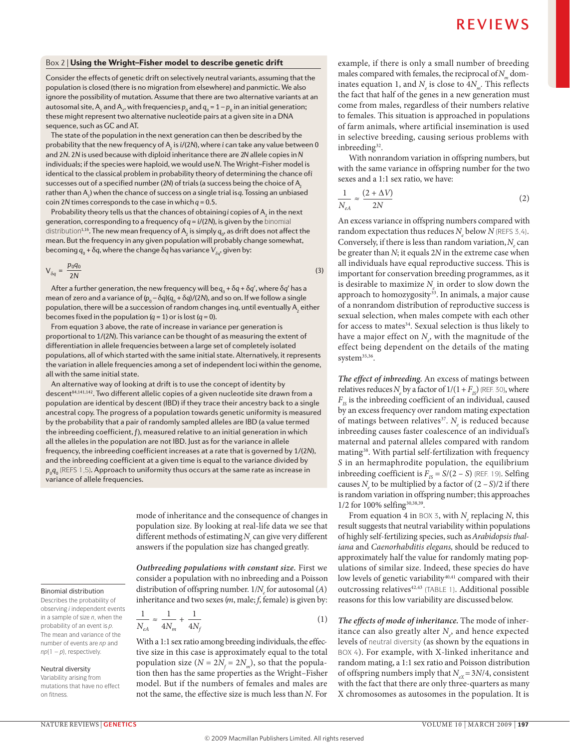## Box 2 | Using the Wright-Fisher model to describe genetic drift

Consider the effects of genetic drift on selectively neutral variants, assuming that the population is closed (there is no migration from elsewhere) and panmictic. We also ignore the possibility of mutation. Assume that there are two alternative variants at an autosomal site,  $\mathsf{A}_\text{\tiny{1}}$  and  $\mathsf{A}_\text{\tiny{2}}$ , with frequencies  $p_{\text{\tiny{0}}}$  and  $q_{\text{\tiny{0}}}$  = 1 –  $p_{\text{\tiny{0}}}$  in an initial generation; these might represent two alternative nucleotide pairs at a given site in a DNA sequence, such as GC and AT.

The state of the population in the next generation can then be described by the probability that the new frequency of A<sub>2</sub> is i/(2N), where i can take any value between 0 and 2*N.* 2*N* is used because with diploid inheritance there are 2*N* allele copies in *N* individuals; if the species were haploid, we would use *N.* The Wright–Fisher model is identical to the classical problem in probability theory of determining the chance ofi successes out of a specified number (2N) of trials (a success being the choice of A<sub>2</sub> rather than A<sub>1</sub>) when the chance of success on a single trial is *q*. Tossing an unbiased coin 2*N* times corresponds to the case in which *q* = 0.5.

Probability theory tells us that the chances of obtaining*i* copies of  $\mathsf{A}_\mathsf{2}$  in the next generation, corresponding to a frequency of *q = i*/(2*N*), is given by the binomial distribution $^{1,16}.$  The new mean frequency of  $\mathsf{A}_2$  is simply  $q_{_0},$  as drift does not affect the mean. But the frequency in any given population will probably change somewhat, becoming  $q_{_0}$  +  $\delta q$ , where the change  $\delta q$  has variance  $V_{_{\delta q}},$  given by:

$$
V_{\delta q} = \frac{p_0 q_0}{2N} \tag{3}
$$

After a further generation, the new frequency will be  $q_0 + \delta q + \delta q'$ , where  $\delta q'$  has a mean of zero and a variance of ( $p_{_0}$  –  $\delta q$ )( $q_{_0}$  +  $\delta q$ )/(2N), and so on. If we follow a single population, there will be a succession of random changes in*q*, until eventually  $\mathsf{A}_\mathrm{2}$  either becomes fixed in the population  $(q = 1)$  or is lost  $(q = 0)$ .

From equation 3 above, the rate of increase in variance per generation is proportional to 1/(2*N*). This variance can be thought of as measuring the extent of differentiation in allele frequencies between a large set of completely isolated populations, all of which started with the same initial state. Alternatively, it represents the variation in allele frequencies among a set of independent loci within the genome, all with the same initial state.

An alternative way of looking at drift is to use the concept of identity by descent<sup>84,141,142</sup>. Two different allelic copies of a given nucleotide site drawn from a population are identical by descent (IBD) if they trace their ancestry back to a single ancestral copy. The progress of a population towards genetic uniformity is measured by the probability that a pair of randomly sampled alleles are IBD (a value termed the inbreeding coefficient, *f*), measured relative to an initial generation in which all the alleles in the population are not IBD. Just as for the variance in allele frequency, the inbreeding coefficient increases at a rate that is governed by 1/(2*N*), and the inbreeding coefficient at a given time is equal to the variance divided by  $p_{\scriptscriptstyle 0} q_{\scriptscriptstyle 0}$  (REFS 1,5). Approach to uniformity thus occurs at the same rate as increase in variance of allele frequencies.

> mode of inheritance and the consequence of changes in population size. By looking at real-life data we see that different methods of estimating  $N_e$  can give very different answers if the population size has changedgreatly.

> **Outbreeding populations with constant size.** First we consider a population with no inbreeding and a Poisson distribution of offspring number.  $1/N$ <sub>e</sub> for autosomal (A) inheritance and two sexes  $(m, male; f, female)$  is given by:

$$
\frac{1}{N_{eA}} \approx \frac{1}{4N_m} + \frac{1}{4N_f} \tag{1}
$$

With a 1:1 sex ratio among breeding individuals, the effective size in this case is approximately equal to the total population size ( $N = 2N_f = 2N_m$ ), so that the population then has the same properties as the Wright–Fisher model. But if the numbers of females and males are not the same, the effective size is much less than N. For

example, if there is only a small number of breeding males compared with females, the reciprocal of  $N_{\mu}$  dominates equation 1, and  $N_e$  is close to  $4N_m$ . This reflects the fact that half of the genes in a new generation must come from males, regardless of their numbers relative to females. This situation is approached in populations of farm animals, where artificial insemination is used in selective breeding, causing serious problems with inbreeding<sup>32</sup>.

With nonrandom variation in offspring numbers, but with the same variance in offspring number for the two sexes and a 1:1 sex ratio, we have:

$$
\frac{1}{N_{eA}} \approx \frac{(2 + \Delta V)}{2N} \tag{2}
$$

An excess variance in offspring numbers compared with random expectation thus reduces  $N_e$  below  $N$  (REFS 3,4). Conversely, if there is less than random variation,  $N_e$  can be greater than N; it equals 2N in the extreme case when all individuals have equal reproductive success. This is important for conservation breeding programmes, as it is desirable to maximize  $N_e$  in order to slow down the approach to homozygosity $33$ . In animals, a major cause of a nonrandom distribution of reproductive success is sexual selection, when males compete with each other for access to mates<sup>34</sup>. Sexual selection is thus likely to have a major effect on  $N_e$ , with the magnitude of the effect being dependent on the details of the mating system<sup>35,36</sup>.

**The effect of inbreeding.** An excess of matings between relatives reduces  $N_e$  by a factor of  $1/(1+F_{IS})$  (REF. 30), where  $F_{1S}$  is the inbreeding coefficient of an individual, caused by an excess frequency over random mating expectation of matings between relatives<sup>37</sup>.  $N_e$  is reduced because inbreeding causes faster coalescence of an individual's maternal and paternal alleles compared with random mating<sup>38</sup>. With partial self-fertilization with frequency S in an hermaphrodite population, the equilibrium inbreeding coefficient is  $F_{IS} = S/(2 - S)$  (REF. 19). Selfing causes  $N_e$  to be multiplied by a factor of  $(2 – S)/2$  if there is random variation in offspring number; this approaches 1/2 for 100% selfing<sup>30,38,39</sup>.

From equation 4 in BOX 3, with  $N_e$  replacing N, this result suggests that neutral variability within populations of highly self-fertilizing species, such as Arabidopsis thaliana and Caenorhabditis elegans, should be reduced to approximately half the value for randomly mating populations of similar size. Indeed, these species do have low levels of genetic variability<sup>40,41</sup> compared with their outcrossing relatives<sup>42,43</sup> (TABLE 1). Additional possible reasons for this low variability are discussedbelow.

**The effects of mode of inheritance.** The mode of inheritance can also greatly alter  $N_e$ , and hence expected levels of neutral diversity (as shown by the equations in BOX 4). For example, with X-linked inheritance and random mating, a 1:1 sex ratio and Poisson distribution of offspring numbers imply that  $N_{ex} = 3N/4$ , consistent with the fact that there are only three-quarters as many X chromosomes as autosomes in the population. It is

Binomial distribution Describes the probability of observing *i* independent events in a sample of size *n*, when the probability of an event is *p.* The mean and variance of the number of events are *np* and  $np(1-p)$ , respectively. Neutral diversity Variability arising from mutations that have no effect

on fitness.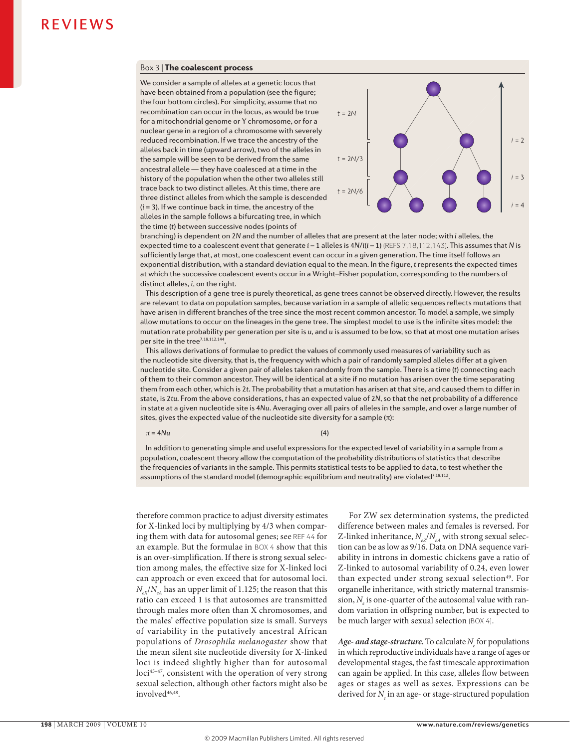## Box 3 | The coalescent process

We consider a sample of alleles at a genetic locus that have been obtained from a population (see the figure: the four bottom circles). For simplicity, assume that no recombination can occur in the locus, as would be true for a mitochondrial genome or Y chromosome, or for a nuclear gene in a region of a chromosome with severely reduced recombination. If we trace the ancestry of the alleles back in time (upward arrow), two of the alleles in the sample will be seen to be derived from the same ancestral allele — they have coalesced at a time in the history of the population when the other two alleles still trace back to two distinct alleles. At this time, there are three distinct alleles from which the sample is descended (*i* = 3). If we continue back in time, the ancestry of the alleles in the sample follows a bifurcating tree, in which the time (*t*) between successive nodes (points of



branching) is dependent on 2N and the number of alleles that are present at the later node; with *i* alleles, the expected time to a coalescent event that generate *i* – 1 alleles is 4*N*/*i*(*i* – 1) (REFS 7,18,112,143). This assumes that *N* is sufficiently large that, at most, one coalescent event can occur in a given generation. The time itself follows an exponential distribution, with a standard deviation equal to the mean. In the figure, *t* represents the expected times at which the successive coalescent events occur in a Wright–Fisher population, corresponding to the numbers of distinct alleles, *i*, on the right.

This description of a gene tree is purely theoretical, as gene trees cannot be observed directly. However, the results are relevant to data on population samples, because variation in a sample of allelic sequences reflects mutations that have arisen in different branches of the tree since the most recent common ancestor. To model a sample, we simply allow mutations to occur on the lineages in the gene tree. The simplest model to use is the infinite sites model: the mutation rate probability per generation per site is *u*, and *u* is assumed to be low, so that at most one mutation arises per site in the tree<sup>7,18,112,144</sup>

This allows derivations of formulae to predict the values of commonly used measures of variability such as the nucleotide site diversity, that is, the frequency with which a pair of randomly sampled alleles differ at a given nucleotide site. Consider a given pair of alleles taken randomly from the sample. There is a time (*t*) connecting each of them to their common ancestor. They will be identical at a site if no mutation has arisen over the time separating them from each other, which is 2*t*. The probability that a mutation has arisen at that site, and caused them to differ in state, is 2*tu.* From the above considerations, *t* has an expected value of 2*N*, so that the net probability of a difference in state at a given nucleotide site is 4*Nu.* Averaging over all pairs of alleles in the sample, and over a large number of sites, gives the expected value of the nucleotide site diversity for a sample  $(\pi)$ :

### $\pi = 4Nu$  (4)

In addition to generating simple and useful expressions for the expected level of variability in a sample from a population, coalescent theory allow the computation of the probability distributions of statistics that describe the frequencies of variants in the sample. This permits statistical tests to be applied to data, to test whether the assumptions of the standard model (demographic equilibrium and neutrality) are violated<sup>7,18,112</sup>.

therefore common practice to adjust diversity estimates for X-linked loci by multiplying by 4/3 when comparing them with data for autosomal genes; see REF 44 for an example. But the formulae in BOX 4 show that this is an over-simplification. If there is strong sexual selection among males, the effective size for X-linked loci can approach or even exceed that for autosomal loci.  $N_{\rm eV}/N_{\rm eA}$  has an upper limit of 1.125; the reason that this ratio can exceed 1 is that autosomes are transmitted through males more often than X chromosomes, and the males' effective population size is small. Surveys of variability in the putatively ancestral African populations of Drosophila melanogaster show that the mean silent site nucleotide diversity for X-linked loci is indeed slightly higher than for autosomal loci<sup>45-47</sup>, consistent with the operation of very strong sexual selection, although other factors might also be involved<sup>46,48</sup>.

For ZW sex determination systems, the predicted difference between males and females is reversed. For Z-linked inheritance,  $N_{\rm z}/N_{\rm zA}$  with strong sexual selection can be as low as 9/16. Data on DNA sequence variability in introns in domestic chickens gave a ratio of Z-linked to autosomal variability of 0.24, even lower than expected under strong sexual selection<sup>49</sup>. For organelle inheritance, with strictly maternal transmission,  $N_e$  is one-quarter of the autosomal value with random variation in offspring number, but is expected to be much larger with sexual selection (BOX 4).

Age- and stage-structure. To calculate  $N_{e}$  for populations in which reproductive individuals have a range of ages or developmental stages, the fast timescale approximation can again be applied. In this case, alleles flow between ages or stages as well as sexes. Expressions can be derived for  $N_e$  in an age- or stage-structured population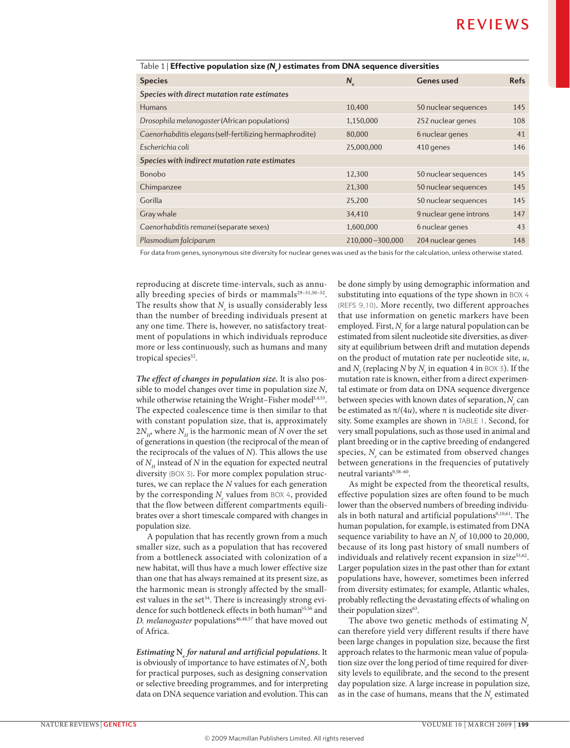| <code>Table</code> 1 $ $ Effective population size (N ) estimates from DNA sequence diversities |                   |                        |             |
|-------------------------------------------------------------------------------------------------|-------------------|------------------------|-------------|
| <b>Species</b>                                                                                  | $N_e$             | Genes used             | <b>Refs</b> |
| Species with direct mutation rate estimates                                                     |                   |                        |             |
| <b>Humans</b>                                                                                   | 10,400            | 50 nuclear sequences   | 145         |
| Drosophila melanogaster (African populations)                                                   | 1,150,000         | 252 nuclear genes      | 108         |
| Caenorhabditis elegans (self-fertilizing hermaphrodite)                                         | 80,000            | 6 nuclear genes        | 41          |
| Escherichia coli                                                                                | 25,000,000        | 410 genes              | 146         |
| Species with indirect mutation rate estimates                                                   |                   |                        |             |
| <b>Bonobo</b>                                                                                   | 12,300            | 50 nuclear sequences   | 145         |
| Chimpanzee                                                                                      | 21,300            | 50 nuclear sequences   | 145         |
| Gorilla                                                                                         | 25,200            | 50 nuclear sequences   | 145         |
| Gray whale                                                                                      | 34,410            | 9 nuclear gene introns | 147         |
| Caenorhabditis remanei (separate sexes)                                                         | 1,600,000         | 6 nuclear genes        | 43          |
| Plasmodium falciparum                                                                           | 210,000 - 300,000 | 204 nuclear genes      | 148         |
|                                                                                                 |                   |                        |             |

For data from genes, synonymous site diversity for nuclear genes was used as the basis for the calculation, unless otherwise stated.

reproducing at discrete time-intervals, such as annually breeding species of birds or mammals<sup>29-31,50-52</sup>. The results show that  $N_e$  is usually considerably less than the number of breeding individuals present at any one time. There is, however, no satisfactory treatment of populations in which individuals reproduce more or less continuously, such as humans and many tropical species<sup>52</sup>.

**The effect of changes in population size.** It is also possible to model changes over time in population size  $N$ , while otherwise retaining the Wright-Fisher model<sup>3,4,53</sup>. The expected coalescence time is then similar to that with constant population size, that is, approximately  $2N_{\mu}$ , where  $N_{\mu}$  is the harmonic mean of N over the set of generations in question (the reciprocal of the mean of the reciprocals of the values of  $N$ ). This allows the use of  $N_{\mu}$  instead of N in the equation for expected neutral diversity (BOX 3). For more complex population structures, we can replace the N values for each generation by the corresponding  $N_e$  values from BOX 4, provided that the flow between different compartments equilibrates over a short timescale compared with changes in population size.

A population that has recently grown from a much smaller size, such as a population that has recovered from a bottleneck associated with colonization of a new habitat, will thus have a much lower effective size than one that has always remained at its present size, as the harmonic mean is strongly affected by the smallest values in the set<sup>54</sup>. There is increasingly strong evidence for such bottleneck effects in both human<sup>55,56</sup> and D. melanogaster populations<sup>46,48,57</sup> that have moved out of Africa.

**Estimating N** for natural and artificial populations. It is obviously of importance to have estimates of  $N_e$ , both for practical purposes, such as designing conservation or selective breeding programmes, and for interpreting data on DNA sequence variation and evolution. This can be done simply by using demographic information and substituting into equations of the type shown in BOX 4 (REFS 9,10). More recently, two different approaches that use information on genetic markers have been employed. First,  $N_e$  for a large natural population can be estimated from silent nucleotide site diversities, as diversity at equilibrium between drift and mutation depends on the product of mutation rate per nucleotide site,  $u$ , and  $N_e$  (replacing N by  $N_e$  in equation 4 in BOX 3). If the mutation rate is known, either from a direct experimental estimate or from data on DNA sequence divergence between species with known dates of separation,  $N_e$  can be estimated as  $\pi/(4u)$ , where  $\pi$  is nucleotide site diversity. Some examples are shown in TABLE 1. Second, for very small populations, such as those used in animal and plant breeding or in the captive breeding of endangered species,  $N_e$  can be estimated from observed changes between generations in the frequencies of putatively neutral variants $9,58-60$ .

As might be expected from the theoretical results, effective population sizes are often found to be much lower than the observed numbers of breeding individuals in both natural and artificial populations $9,10,61$ . The human population, for example, is estimated from DNA sequence variability to have an  $N_e$  of 10,000 to 20,000, because of its long past history of small numbers of individuals and relatively recent expansion in size<sup>55,62</sup>. Larger population sizes in the past other than for extant populations have, however, sometimes been inferred from diversity estimates; for example, Atlantic whales, probably reflecting the devastating effects of whaling on their population sizes<sup>63</sup>.

The above two genetic methods of estimating  $N$ can therefore yield very different results if there have been large changes in population size, because the first approach relates to the harmonic mean value of population size over the long period of time required for diversity levels to equilibrate, and the second to the present day population size. A large increase in population size, as in the case of humans, means that the  $N_e$  estimated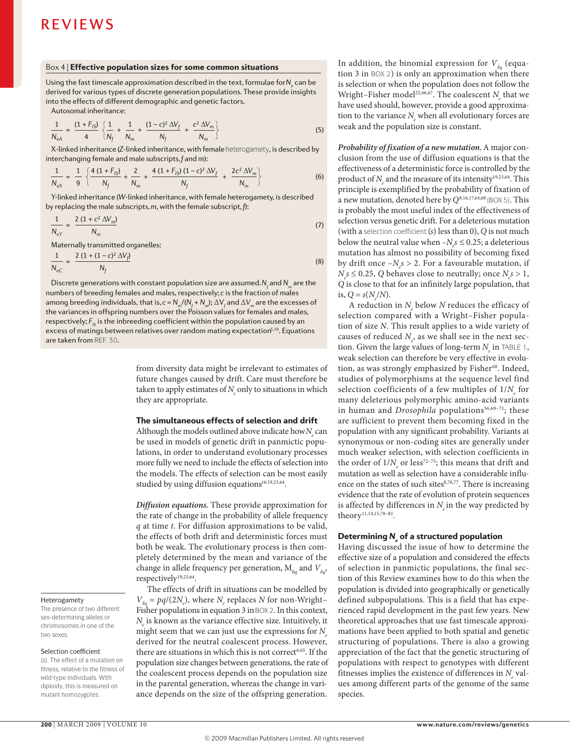## Box 4 | Effective population sizes for some common situations

Using the fast timescale approximation described in the text, formulae for $N_{_e}$  can be derived for various types of discrete generation populations. These provide insights into the effects of different demographic and genetic factors. Autosomal inheritance:

$$
\frac{1}{N_{eA}} \approx \frac{(1 + F_{IS})}{4} \left\{ \frac{1}{N_f} + \frac{1}{N_m} + \frac{(1 - c)^2 \Delta V_f}{N_f} + \frac{c^2 \Delta V_m}{N_m} \right\}
$$
(5)

X-linked inheritance (*Z*-linked inheritance, with female heterogamety, is described by interchanging female and male subscripts, *f* and *m*):

$$
\frac{1}{N_{ex}} \approx \frac{1}{9} \left\{ \frac{4 (1 + F_{IS})}{N_f} + \frac{2}{N_m} + \frac{4 (1 + F_{IS}) (1 - c)^2 \Delta V_f}{N_f} + \frac{2 c^2 \Delta V_m}{N_m} \right\}
$$
(6)

Y-linked inheritance (*W*-linked inheritance, with female heterogamety, is described by replacing the male subscripts, *m*, with the female subscript, *f*):

$$
\frac{1}{N_{\text{eY}}} \approx \frac{2(1 + c^2 \Delta V_m)}{N_m} \tag{7}
$$

Maternally transmitted organelles:

$$
\frac{1}{N_{ec}} \approx \frac{2(1 + (1 - c)^2 \Delta V_f)}{N_f} \tag{8}
$$

Discrete generations with constant population size are assumed. *N<sub>f</sub>* and *N<sub>m</sub>* are the numbers of breeding females and males, respectively; *c* is the fraction of males among breeding individuals, that is,  $c$  =  $N_{_m}/(N_{_f}$  +  $N_{_m})$ ;  $\Delta V_{_f}$  and  $\Delta V_{_m}$  are the excesses of the variances in offspring numbers over the Poisson values for females and males, respectively;  $F_{1s}$  is the inbreeding coefficient within the population caused by an excess of matings between relatives over random mating expectation<sup>5,19</sup>. Equations are taken from REF. 30.

> from diversity data might be irrelevant to estimates of future changes caused by drift. Care must therefore be taken to apply estimates of  $N_e$  only to situations in which they are appropriate.

## The simultaneous effects of selection and drift

Although the models outlined above indicate how  $N_e$  can be used in models of genetic drift in panmictic populations, in order to understand evolutionary processes more fully we need to include the effects of selection into the models. The effects of selection can be most easily studied by using diffusion equations<sup>16,19,23,64</sup>.

**Diffusion equations.** These provide approximation for the rate of change in the probability of allele frequency  $q$  at time  $t$ . For diffusion approximations to be valid, the effects of both drift and deterministic forces must both be weak. The evolutionary process is then completely determined by the mean and variance of the change in allele frequency per generation,  $\mathbf{M}_{\delta q}$  and  $\mathbf{V}_{\delta q}$ , respectively<sup>19,23,64</sup>.

The effects of drift in situations can be modelled by  $V_{\delta q} = pq/(2N_e)$ , where  $N_e$  replaces N for non-Wright– Fisher populations in equation 3 in BOX 2. In this context,  $N_{_e}$  is known as the variance effective size. Intuitively, it might seem that we can just use the expressions for  $N_e$ derived for the neutral coalescent process. However, there are situations in which this is not correct<sup>6,65</sup>. If the population size changes between generations, the rate of the coalescent process depends on the population size in the parental generation, whereas the change in variance depends on the size of the offspring generation.

In addition, the binomial expression for  $V_{\delta q}$  (equation 3 in BOX 2) is only an approximation when there is selection or when the population does not follow the Wright–Fisher model<sup>22,66,67</sup>. The coalescent  $N_e$  that we have used should, however, provide a good approximation to the variance  $N_e$  when all evolutionary forces are weak and the population size is constant.

**Probability of fixation of a new mutation.** A major conclusion from the use of diffusion equations is that the effectiveness of a deterministic force is controlled by the product of  $N_e$  and the measure of its intensity<sup>19,23,64</sup>. This principle is exemplified by the probability of fixation of a new mutation, denoted here by  $Q^{8,16,17,64,68}$  (BOX 5). This is probably the most useful index of the effectiveness of selection versus genetic drift. For a deleterious mutation (with a selection coefficient  $(s)$  less than  $0$ ),  $O$  is not much below the neutral value when  $-N_e s \le 0.25$ ; a deleterious mutation has almost no possibility of becoming fixed by drift once  $-N_e s > 2$ . For a favourable mutation, if  $N_e s \le 0.25$ , Q behaves close to neutrally; once  $N_e s > 1$ , Q is close to that for an infinitely large population, that is,  $Q = s(N_e/N)$ .

A reduction in  $N_e$  below N reduces the efficacy of selection compared with a Wright–Fisher population of size N. This result applies to a wide variety of causes of reduced  $N_e$ , as we shall see in the next section. Given the large values of long-term  $N_e$  in TABLE 1, weak selection can therefore be very effective in evolution, as was strongly emphasized by Fisher<sup>68</sup>. Indeed, studies of polymorphisms at the sequence level find selection coefficients of a few multiples of  $1/N_e$  for many deleterious polymorphic amino-acid variants in human and Drosophila populations<sup>56,69-71</sup>; these are sufficient to prevent them becoming fixed in the population with any significant probability. Variants at synonymous or non-coding sites are generally under much weaker selection, with selection coefficients in the order of  $1/N_e$  or less<sup>72-75</sup>; this means that drift and mutation as well as selection have a considerable influence on the states of such sites<sup>8,76,77</sup>. There is increasing evidence that the rate of evolution of protein sequences is affected by differences in  $N_{\perp}$  in the way predicted by theory11,14,15,78–82.

## Determining **N<sub>e</sub> of a structured population**

Having discussed the issue of how to determine the effective size of a population and considered the effects of selection in panmictic populations, the final section of this Review examines how to do this when the population is divided into geographically or genetically defined subpopulations. This is a field that has experienced rapid development in the past few years. New theoretical approaches that use fast timescale approximations have been applied to both spatial and genetic structuring of populations. There is also a growing appreciation of the fact that the genetic structuring of populations with respect to genotypes with different fitnesses implies the existence of differences in  $N_e$  values among different parts of the genome of the same species.

## Heterogamety

The presence of two different sex-determining alleles or chromosomes in one of the two sexes.

## Selection coefficient

(*s*). The effect of a mutation on fitness, relative to the fitness of wild-type individuals. With diploidy, this is measured on mutant homozygotes.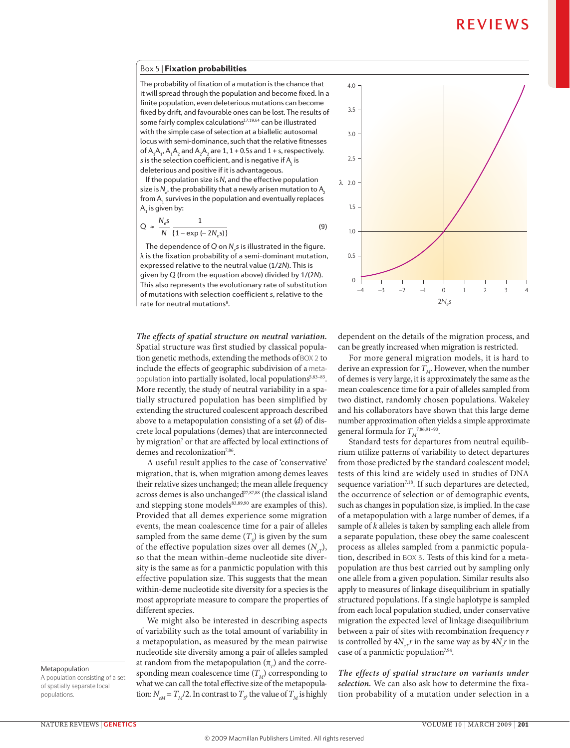## Box 5 | Fixation probabilities

The probability of fixation of a mutation is the chance that it will spread through the population and become fixed. In a finite population, even deleterious mutations can become fixed by drift, and favourable ones can be lost. The results of some fairly complex calculations<sup>17,19,64</sup> can be illustrated with the simple case of selection at a biallelic autosomal locus with semi-dominance, such that the relative fitnesses of  $A_1A_1$ ,  $A_1A_2$  and  $A_2A_2$  are 1, 1 + 0.5*s* and 1 + *s*, respectively.  $\bm{s}$  is the selection coefficient, and is negative if  $\bm{\mathsf{A}}_{\!\scriptscriptstyle 2}$  is deleterious and positive if it is advantageous.

If the population size is *N*, and the effective population size is  $N_{_{e}}$ , the probability that a newly arisen mutation to  $\mathsf{A}_{\!\!_2}$ from  $\mathsf{A}_\text{\tiny{1}}$  survives in the population and eventually replaces  $A<sub>1</sub>$  is given by:

$$
Q \approx \frac{N_e s}{N} \frac{1}{\{1 - \exp(-2N_e s)\}}
$$
(9)

The dependence of  $Q$  on  $N_{_{\rm e}}$ s is illustrated in the figure.  $\lambda$  is the fixation probability of a semi-dominant mutation, expressed relative to the neutral value (1/*2N*). This is given by *Q* (from the equation above) divided by 1/(2*N*). This also represents the evolutionary rate of substitution of mutations with selection coefficient *s*, relative to the rate for neutral mutations<sup>8</sup>.

**The effects of spatial structure on neutral variation.** Spatial structure was first studied by classical population genetic methods, extending the methods of BOX 2 to include the effects of geographic subdivision of a metapopulation into partially isolated, local populations<sup>5,83-85</sup>. More recently, the study of neutral variability in a spatially structured population has been simplified by extending the structured coalescent approach described above to a metapopulation consisting of a set (d) of discrete local populations (demes) that are interconnected by migration<sup>7</sup> or that are affected by local extinctions of demes and recolonization<sup>7,86</sup>.

A useful result applies to the case of 'conservative' migration, that is, when migration among demes leaves their relative sizes unchanged; the mean allele frequency across demes is also unchanged<sup>27,87,88</sup> (the classical island and stepping stone models $83,89,90$  are examples of this). Provided that all demes experience some migration events, the mean coalescence time for a pair of alleles sampled from the same deme  $(T<sub>s</sub>)$  is given by the sum of the effective population sizes over all demes  $(N_{\tau})$ , so that the mean within-deme nucleotide site diversity is the same as for a panmictic population with this effective population size. This suggests that the mean within-deme nucleotide site diversity for a species is the most appropriate measure to compare the properties of different species.

We might also be interested in describing aspects of variability such as the total amount of variability in a metapopulation, as measured by the mean pairwise nucleotide site diversity among a pair of alleles sampled at random from the metapopulation  $(\pi_r)$  and the corresponding mean coalescence time  $(T_M)$  corresponding to what we can call the total effective size of the metapopulation:  $N_{\text{eM}} = T_M/2$ . In contrast to  $T_{S}$  the value of  $T_M$  is highly



dependent on the details of the migration process, and can be greatly increased when migration is restricted.

For more general migration models, it is hard to derive an expression for  $T_M$ . However, when the number of demes is very large, it is approximately the same as the mean coalescence time for a pair of alleles sampled from two distinct, randomly chosen populations. Wakeley and his collaborators have shown that this large deme number approximation often yields a simple approximate general formula for  $T_M^{7,86,91-93}$ .

Standard tests for departures from neutral equilibrium utilize patterns of variability to detect departures from those predicted by the standard coalescent model; tests of this kind are widely used in studies of DNA sequence variation<sup>7,18</sup>. If such departures are detected, the occurrence of selection or of demographic events, such as changes in population size, is implied. In the case of a metapopulation with a large number of demes, if a sample of  $k$  alleles is taken by sampling each allele from a separate population, these obey the same coalescent process as alleles sampled from a panmictic population, described in BOX 3. Tests of this kind for a metapopulation are thus best carried out by sampling only one allele from a given population. Similar results also apply to measures of linkage disequilibrium in spatially structured populations. If a single haplotype is sampled from each local population studied, under conservative migration the expected level of linkage disequilibrium between a pair of sites with recombination frequency r is controlled by  $4N_{eT}$  in the same way as by  $4N_{e}$  in the case of a panmictic population<sup>7,94</sup>.

**The effects of spatial structure on variants under selection.** We can also ask how to determine the fixation probability of a mutation under selection in a

Metapopulation

A population consisting of a set of spatially separate local populations.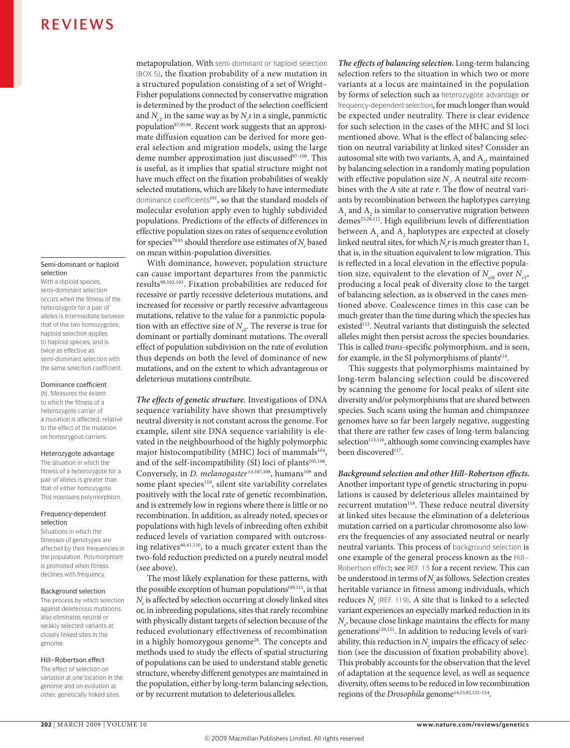### Semi-dominant or haploid selection

With a diploid species. semi-dominant selection occurs when the fitness of the heterozygote for a pair of alleles is intermediate between that of the two homozygotes; haploid selection applies to haploid species, and is twice as effective as semi-dominant selection with the same selection coefficient.

## Dominance coefficient

(*h*). Measures the extent to which the fitness of a heterozygote carrier of a mutation is affected, relative to the effect of the mutation on homozygous carriers.

#### Heterozygote advantage

The situation in which the fitness of a heterozygote for a pair of alleles is greater than that of either homozygote. This maintains polymorphism.

## Frequency-dependent selection

Situations in which the fitnesses of genotypes are affected by their frequencies in the population. Polymorphism is promoted when fitness declines with frequency.

## Background selection

The process by which selection against deleterious mutations also eliminates neutral or weakly selected variants at closely linked sites in the genome.

## Hill–Robertson effect

The effect of selection on variation at one location in the genome and on evolution at other, genetically linked sites.

metapopulation. With semi-dominant or haploid selection (BOX 5), the fixation probability of a new mutation in a structured population consisting of a set of Wright– Fisher populations connected by conservative migration is determined by the product of the selection coefficient and  $N_{er}$  in the same way as by  $N_{e}$ s in a single, panmictic population<sup>87,95,96</sup>. Recent work suggests that an approximate diffusion equation can be derived for more general selection and migration models, using the large deme number approximation just discussed<sup>97-100</sup>. This is useful, as it implies that spatial structure might not have much effect on the fixation probabilities of weakly selected mutations, which are likely to have intermediate dominance coefficients<sup>101</sup>, so that the standard models of molecular evolution apply even to highly subdivided populations. Predictions of the effects of differences in effective population sizes on rates of sequence evolution for species<sup>79,81</sup> should therefore use estimates of  $N_e$  based on mean within-population diversities.

With dominance, however, population structure can cause important departures from the panmictic results98,102,103. Fixation probabilities are reduced for recessive or partly recessive deleterious mutations, and increased for recessive or partly recessive advantageous mutations, relative to the value for a panmictic population with an effective size of  $N_{\text{sc}}$ . The reverse is true for dominant or partially dominant mutations. The overall effect of population subdivision on the rate of evolution thus depends on both the level of dominance of new mutations, and on the extent to which advantageous or deleterious mutations contribute.

**The effects of genetic structure.** Investigations of DNA sequence variability have shown that presumptively neutral diversity is not constant across the genome. For example, silent site DNA sequence variability is elevated in the neighbourhood of the highly polymorphic major histocompatibility (MHC) loci of mammals<sup>104</sup>, and of the self-incompatibility (SI) loci of plants<sup>105,106</sup>. Conversely, in *D. melanogaster*<sup>14,107,108</sup>, humans<sup>109</sup> and some plant species<sup>110</sup>, silent site variability correlates positively with the local rate of genetic recombination, and is extremely low in regions where there is little or no recombination. In addition, as already noted, species or populations with high levels of inbreeding often exhibit reduced levels of variation compared with outcrossing relatives<sup>40,41,110</sup>, to a much greater extent than the two-fold reduction predicted on a purely neutral model (see above).

The most likely explanation for these patterns, with the possible exception of human populations $109,111$ , is that  $N_e$  is affected by selection occurring at closely linked sites or, in inbreeding populations, sites that rarely recombine with physically distant targets of selection because of the reduced evolutionary effectiveness of recombination in a highly homozygous genome<sup>28</sup>. The concepts and methods used to study the effects of spatial structuring of populations can be used to understand stable genetic structure, whereby different genotypes are maintained in the population, either by long-term balancing selection, or by recurrent mutation to deleterious alleles.

**The effects of balancing selection.** Long-term balancing selection refers to the situation in which two or more variants at a locus are maintained in the population by forms of selection such as heterozygote advantage or frequency-dependent selection, for much longer than would be expected under neutrality. There is clear evidence for such selection in the cases of the MHC and SI loci mentioned above. What is the effect of balancing selection on neutral variability at linked sites? Consider an autosomal site with two variants,  $A_1$  and  $A_2$ , maintained by balancing selection in a randomly mating population with effective population size  $N_e$ . A neutral site recombines with the A site at rate r. The flow of neutral variants by recombination between the haplotypes carrying  $A_1$  and  $A_2$  is similar to conservative migration between demes<sup>25,28,112</sup>. High equilibrium levels of differentiation between  $A_1$  and  $A_2$  haplotypes are expected at closely linked neutral sites, for which  $N_{e}r$  is much greater than 1, that is, in the situation equivalent to low migration. This is reflected in a local elevation in the effective population size, equivalent to the elevation of  $N_{eM}$  over  $N_{eT}$ , producing a local peak of diversity close to the target of balancing selection, as is observed in the cases mentioned above. Coalescence times in this case can be much greater than the time during which the species has existed<sup>113</sup>. Neutral variants that distinguish the selected alleles might then persist across the species boundaries. This is called trans-specific polymorphism, and is seen, for example, in the SI polymorphisms of plants<sup>114</sup>.

This suggests that polymorphisms maintained by long-term balancing selection could be discovered by scanning the genome for local peaks of silent site diversity and/or polymorphisms that are shared between species. Such scans using the human and chimpanzee genomes have so far been largely negative, suggesting that there are rather few cases of long-term balancing selection<sup>115,116</sup>, although some convincing examples have been discovered<sup>117</sup>.

**Background selection and other Hill–Robertson effects.** Another important type of genetic structuring in populations is caused by deleterious alleles maintained by recurrent mutation<sup>118</sup>. These reduce neutral diversity at linked sites because the elimination of a deleterious mutation carried on a particular chromosome also lowers the frequencies of any associated neutral or nearly neutral variants. This process of background selection is one example of the general process known as the Hill– Robertson effect; see REF. 13 for a recent review. This can be understood in terms of  $N_{e}$  as follows. Selection creates heritable variance in fitness among individuals, which reduces  $N_a$  (REF. 119). A site that is linked to a selected variant experiences an especially marked reduction in its  $N_e$  because close linkage maintains the effects for many generations<sup>120,121</sup>. In addition to reducing levels of variability, this reduction in  $N_e$  impairs the efficacy of selection (see the discussion of fixation probability above). This probably accounts for the observation that the level of adaptation at the sequence level, as well as sequence diversity, often seems to be reduced in low recombination regions of the Drosophila genome<sup>14,15,82,122-124</sup>.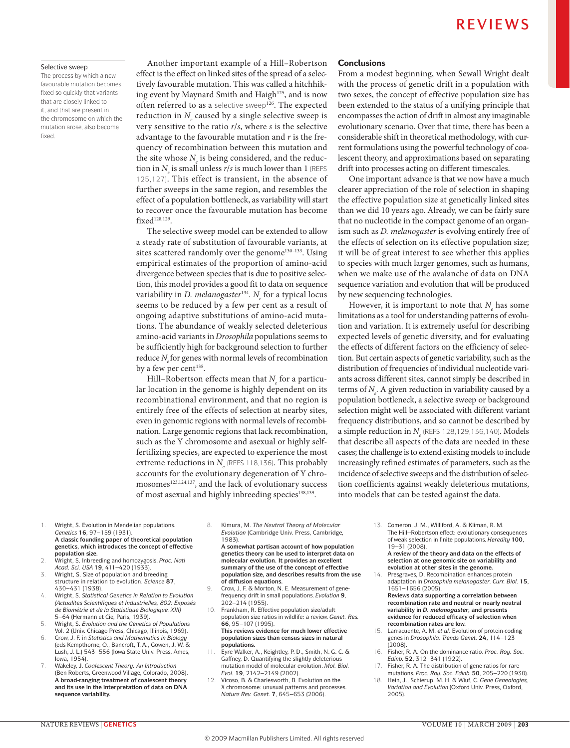#### Selective sweep

The process by which a new favourable mutation becomes fixed so quickly that variants that are closely linked to it, and that are present in the chromosome on which the mutation arose, also become fixed.

Another important example of a Hill–Robertson effect is the effect on linked sites of the spread of a selectively favourable mutation. This was called a hitchhiking event by Maynard Smith and Haigh<sup>125</sup>, and is now often referred to as a selective sweep<sup>126</sup>. The expected reduction in  $N_e$  caused by a single selective sweep is very sensitive to the ratio  $r/s$ , where  $s$  is the selective advantage to the favourable mutation and  $r$  is the frequency of recombination between this mutation and the site whose  $N_{_e}$  is being considered, and the reduction in  $N_e$  is small unless  $r/s$  is much lower than 1 (REFS 125,127). This effect is transient, in the absence of further sweeps in the same region, and resembles the effect of a population bottleneck, as variability will start to recover once the favourable mutation has become fixed128,129.

The selective sweep model can be extended to allow a steady rate of substitution of favourable variants, at sites scattered randomly over the genome<sup>130-133</sup>. Using empirical estimates of the proportion of amino-acid divergence between species that is due to positive selection, this model provides a good fit to data on sequence variability in *D. melanogaster*<sup>134</sup>.  $N<sub>e</sub>$  for a typical locus seems to be reduced by a few per cent as a result of ongoing adaptive substitutions of amino-acid mutations. The abundance of weakly selected deleterious amino-acid variants in Drosophila populations seems to be sufficiently high for background selection to further reduce  $N$  for genes with normal levels of recombination by a few per cent<sup>135</sup>.

Hill–Robertson effects mean that  $N_e$  for a particular location in the genome is highly dependent on its recombinational environment, and that no region is entirely free of the effects of selection at nearby sites, even in genomic regions with normal levels of recombination. Large genomic regions that lack recombination, such as the Y chromosome and asexual or highly selffertilizing species, are expected to experience the most extreme reductions in  $N_{\text{R}}$  (REFS 118,136). This probably accounts for the evolutionary degeneration of Y chromosomes<sup>123,124,137</sup>, and the lack of evolutionary success of most asexual and highly inbreeding species<sup>138,139</sup>.

### Conclusions

From a modest beginning, when Sewall Wright dealt with the process of genetic drift in a population with two sexes, the concept of effective population size has been extended to the status of a unifying principle that encompasses the action of drift in almost any imaginable evolutionary scenario. Over that time, there has been a considerable shift in theoretical methodology, with current formulations using the powerful technology of coalescent theory, and approximations based on separating drift into processes acting on different timescales.

One important advance is that we now have a much clearer appreciation of the role of selection in shaping the effective population size at genetically linked sites than we did 10 years ago. Already, we can be fairly sure that no nucleotide in the compact genome of an organism such as D. melanogaster is evolving entirely free of the effects of selection on its effective population size; it will be of great interest to see whether this applies to species with much larger genomes, such as humans, when we make use of the avalanche of data on DNA sequence variation and evolution that will be produced by new sequencing technologies.

However, it is important to note that  $N_e$  has some limitations as a tool for understanding patterns of evolution and variation. It is extremely useful for describing expected levels of genetic diversity, and for evaluating the effects of different factors on the efficiency of selection. But certain aspects of genetic variability, such as the distribution of frequencies of individual nucleotide variants across different sites, cannot simply be described in terms of  $N_e$ . A given reduction in variability caused by a population bottleneck, a selective sweep or background selection might well be associated with different variant frequency distributions, and so cannot be described by a simple reduction in  $N_{\cdot}$  (REFS 128,129,136,140). Models that describe all aspects of the data are needed in these cases; the challenge is to extend existing models to include increasingly refined estimates of parameters, such as the incidence of selective sweeps and the distribution of selection coefficients against weakly deleterious mutations, into models that can be tested against the data.

- 1. Wright, S. Evolution in Mendelian populations. *Genetics* **16**, 97–159 (1931).
- **A classic founding paper of theoretical population genetics, which introduces the concept of effective population size.**
- 2. Wright, S. Inbreeding and homozygosis. *Proc. Natl Acad. Sci. USA* **19**, 411–420 (1933). 3. Wright, S. Size of population and breeding
- structure in relation to evolution. *Science* **87**, 430–431 (1938).
- 4. Wright, S. *Statistical Genetics in Relation to Evolution (Actualites Scientifiques et Industrielles, 802: Exposés de Biométrie et de la Statistique Biologique. XIII)* 5–64 (Hermann et Cie, Paris, 1939).
- 5. Wright, S. *Evolution and the Genetics of Populations*  Vol. 2 (Univ. Chicago Press, Chicago, Illinois, 1969).
- 6. Crow, J. F. in *Statistics and Mathematics in Biology* (eds Kempthorne, O., Bancroft, T. A., Gowen, J. W. & Lush, J. L.) 543–556 (Iowa State Univ. Press, Ames, Iowa, 1954).
- 7. Wakeley, J. *Coalescent Theory. An Introduction* (Ben Roberts, Greenwood Village, Colorado, 2008). **A broad-ranging treatment of coalescent theory and its use in the interpretation of data on DNA sequence variability.**

8. Kimura, M. *The Neutral Theory of Molecular Evolution* (Cambridge Univ. Press, Cambridge, 1983).

**A somewhat partisan account of how population genetics theory can be used to interpret data on molecular evolution. It provides an excellent summary of the use of the concept of effective population size, and describes results from the use of diffusion equations.**

- 9. Crow, J. F. & Morton, N. E. Measurement of genefrequency drift in small populations. *Evolution* **9**, 202–214 (1955).
- 10. Frankham, R. Effective population size/adult population size ratios in wildlife: a review. *Genet. Res.* **66**, 95–107 (1995). **This reviews evidence for much lower effective population sizes than census sizes in natural**
- **populations.** 11. Eyre-Walker, A., Keightley, P. D., Smith, N. G. C. & Gaffney, D. Quantifying the slightly deleterious mutation model of molecular evolution. *Mol. Biol. Evol.* **19**, 2142–2149 (2002).
- 12. Vicoso, B. & Charlesworth, B. Evolution on the X chromosome: unusual patterns and processes. *Nature Rev. Genet.* **7**, 645–653 (2006).
- 13. Comeron, J. M., Williford, A. & Kliman, R. M. The Hill–Robertson effect: evolutionary consequences of weak selection in finite populations. *Heredity* **100**, 19–31 (2008).
	- **A review of the theory and data on the effects of selection at one genomic site on variability and evolution at other sites in the genome.**
- 14. Presgraves, D. Recombination enhances protein adaptation in *Drosophila melanogaster*. *Curr. Biol.* **15**, 1651–1656 (2005). **Reviews data supporting a correlation between recombination rate and neutral or nearly neutral variability in** *D. melanogaster***, and presents evidence for reduced efficacy of selection when recombination rates are low.**
- 15. Larracuente, A. M. *et al.* Evolution of protein-coding genes in *Drosophila*. *Trends Genet.* **24**, 114–123 (2008).
- 16. Fisher, R. A. On the dominance ratio. *Proc. Roy. Soc. Edinb.* **52**, 312–341 (1922).
- 17. Fisher, R. A. The distribution of gene ratios for rare mutations. *Proc. Roy. Soc. Edinb.* **50**, 205–220 (1930).
- 18. Hein, J., Schierup, M. H. & Wiuf, C. *Gene Genealogies, Variation and Evolution* (Oxford Univ. Press, Oxford, 2005).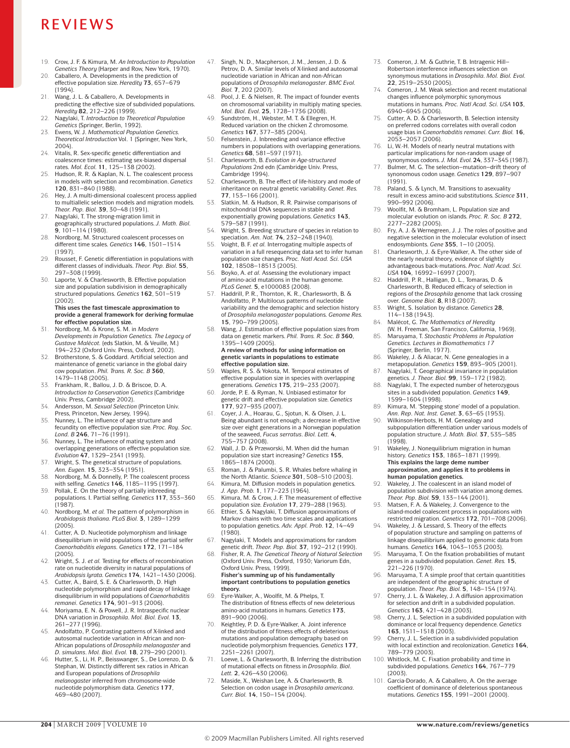- 19. Crow, J. F. & Kimura, M. *An Introduction to Population Genetics Theory* (Harper and Row, New York, 1970).
- 20. Caballero, A. Developments in the prediction of effective population size. *Heredity* **73**, 657–679 (1994).
- 21. Wang, J. L. & Caballero, A. Developments in predicting the effective size of subdivided populations. *Heredity* **82**, 212–226 (1999).
- 22. Nagylaki, T. *Introduction to Theoretical Population Genetics* (Springer, Berlin, 1992).
- 23. Ewens, W. J. *Mathematical Population Genetics. Theoretical Introduction* Vol. 1 (Springer, New York, 2004).
- 24. Vitalis, R. Sex-specific genetic differentiation and coalescence times: estimating sex-biased dispersal rates. *Mol. Ecol.* **11**, 125–138 (2002).
- 25. Hudson, R. R. & Kaplan, N. L. The coalescent process in models with selection and recombination. *Genetics* **120**, 831–840 (1988).
- 26. Hey, J. A multi-dimensional coalescent process applied to multiallelic selection models and migration models. *Theor. Pop. Biol.* **39**, 30–48 (1991).
- 27. Nagylaki, T. The strong-migration limit in geographically structured populations. *J. Math. Biol.* **9**, 101–114 (1980).
- 28. Nordborg, M. Structured coalescent processes on different time scales. *Genetics* **146**, 1501–1514 (1997).
- 29. Rousset, F. Genetic differentiation in populations with different classes of individuals. *Theor. Pop. Biol.* **55**, 297–308 (1999).
- 30. Laporte, V. & Charlesworth, B. Effective population size and population subdivision in demographically structured populations. *Genetics* **162**, 501–519 (2002).

## **This uses the fast timescale approximation to provide a general framework for deriving formulae for effective population size.**

- 31. Nordborg, M. & Krone, S. M. in *Modern Developments in Population Genetics. The Legacy of Gustave Malécot.* (eds Slatkin, M. & Veuille, M.)
- 194–232 (Oxford Univ. Press, Oxford, 2002). 32. Brotherstone, S. & Goddard. Artificial selection and maintenance of genetic variance in the global dairy cow population. *Phil. Trans. R. Soc. B* **360**, 1479–1148 (2005).
- 33. Frankham, R., Ballou, J. D. & Briscoe, D. A. *Introduction to Conservation Genetics* (Cambridge Univ. Press, Cambridge 2002).
- 34. Andersson, M. *Sexual Selection* (Princeton Univ. Press, Princeton, New Jersey, 1994).
- 35. Nunney, L. The influence of age structure and fecundity on effective population size. *Proc. Roy. Soc. Lond. B* **246**, 71–76 (1991).
- 36. Nunney, L. The influence of mating system and overlapping generations on effective population size. *Evolution* **47**, 1329–2341 (1993).
- 37. Wright, S. The genetical structure of populations. *Ann. Eugen.* **15**, 323–354 (1951).
- 38. Nordborg, M. & Donnelly, P. The coalescent process with selfing. *Genetics* **146**, 1185–1195 (1997).
- 39. Pollak, E. On the theory of partially inbreeding populations. I. Partial selfing. *Genetics* **117**, 353–360 (1987).
- 40. Nordborg, M. *et al.* The pattern of polymorphism in *Arabidopsis thaliana*. *PLoS Biol.* **3**, 1289–1299 (2005).
- 41. Cutter, A. D. Nucleotide polymorphism and linkage disequilibrium in wild populations of the partial selfer *Caenorhabditis elegans*. *Genetics* **172**, 171–184 (2005).
- 42. Wright, S. J. *et al.* Testing for effects of recombination rate on nucleotide diversity in natural populations of *Arabidopsis lyrata*. *Genetics* **174**, 1421–1430 (2006). 43. Cutter, A., Baird, S. E. & Charlesworth, D. High
- nucleotide polymorphism and rapid decay of linkage disequilibrium in wild populations of *Caenorhabditis remanei*. *Genetics* **174**, 901–913 (2006).
- 44. Moriyama, E. N. & Powell, J. R. Intraspecific nuclear DNA variation in *Drosophila*. *Mol. Biol. Evol.* **13**, 261–277 (1996).
- 45. Andolfatto, P. Contrasting patterns of X-linked and autosomal nucleotide variation in African and non-African populations of *Drosophila melanogaster* and *D. simulans*. *Mol. Biol. Evol.* **18**, 279–290 (2001).
- 46. Hutter, S., Li, H. P., Beisswanger, S., De Lorenzo, D. & Stephan, W. Distinctly different sex ratios in African and European populations of *Drosophila melanogaster* inferred from chromosome-wide nucleotide polymorphism data. *Genetics* **177**, 469–480 (2007).
- 47. Singh, N. D., Macpherson, J. M., Jensen, J. D. & Petrov, D. A. Similar levels of X-linked and autosomal nucleotide variation in African and non-African populations of *Drosophila melanogaster*. *BMC Evol. Biol.* **7**, 202 (2007).
- 48. Pool, J. E. & Nielsen, R. The impact of founder events on chromosomal variability in multiply mating species. *Mol. Biol. Evol.* **25**, 1728–1736 (2008).
- 49. Sundström, H., Webster, M. T. & Ellegren, H. Reduced variation on the chicken Z chromosome. *Genetics* **167**, 377–385 (2004).
- 50. Felsenstein, J. Inbreeding and variance effective numbers in populations with overlapping generations. *Genetics* **68**, 581–597 (1971).
- 51. Charlesworth, B. *Evolution in Age-structured Populations* 2nd edn (Cambridge Univ. Press, Cambridge 1994).
- 52. Charlesworth, B. The effect of life-history and mode of inheritance on neutral genetic variability. *Genet. Res.* **77**, 153–166 (2001).
- 53. Slatkin, M. & Hudson, R. R. Pairwise comparisons of mitochondrial DNA sequences in stable and exponentially growing populations. *Genetics* **143**, 579–587 (1991).
- 54. Wright, S. Breeding structure of species in relation to speciation. *Am. Nat.* **74**, 232–248 (1940).
- 55. Voight, B. F. *et al.* Interrogating multiple aspects of variation in a full resequencing data set to infer human population size changes. *Proc. Natl Acad. Sci. USA* **102**, 18508–18513 (2005).
- 56. Boyko, A. *et al.* Assessing the evolutionary impact of amino-acid mutations in the human genome. *PLoS Genet.* **5**, e1000083 (2008).
- 57. Haddrill, P. R., Thornton, K. R., Charlesworth, B. & Andolfatto, P. Multilocus patterns of nucleotide variability and the demographic and selection history of *Drosophila melanogaster* populations. *Genome Res.* **15**, 790–799 (2005).
- Wang, J. Estimation of effective population sizes from data on genetic markers. *Phil. Trans. R. Soc. B* **360**, 1395–1409 (2005). **A review of methods for using information on genetic variants in populations to estimate effective population size.**
- 59. Waples, R. S. & Yokota, M. Temporal estimates of effective population size in species with overlapping generations. *Genetics* **175**, 219–233 (2007).
- 60. Jorde, P. E. & Ryman, N. Unbiased estimator for genetic drift and effective population size. *Genetics* **177**, 927–935 (2007).
- 61. Coyer, J. A., Hoarau, G., Sjotun, K. & Olsen, J. L. Being abundant is not enough; a decrease in effective size over eight generations in a Norwegian population of the seaweed, *Fucus serratus*. *Biol. Lett.* **4**, 755–757 (2008).
- 62. Wall, J. D. & Przeworski, M. When did the human population size start increasing? *Genetics* **155**, 1865–1874 (2000).
- 63. Roman, J. & Palumbi, S. R. Whales before whaling in the North Atlantic. *Science* **301**, 508–510 (2003).
- Kimura, M. Diffusion models in population genetics. *J. App. Prob.* **1**, 177–223 (1964).
- 65. Kimura, M. & Crow, J. F. The measurement of effective population size. *Evolution* **17**, 279–288 (1963). 66. Ethier, S. & Nagylaki, T. Diffusion approximations of
- Markov chains with two time scales and applications to population genetics. *Adv. Appl. Prob.* **12**, 14–49 (1980).
- 67. Nagylaki, T. Models and approximations for random genetic drift. *Theor. Pop. Biol.* **37**, 192–212 (1990).
- 68. Fisher, R. A. *The Genetical Theory of Natural Selection* (Oxford Univ. Press, Oxford, 1930; Variorum Edn, Oxford Univ. Press, 1999). **Fisher's summing up of his fundamentally important contributions to population genetics theory.**
- 69. Eyre-Walker, A., Woolfit, M. & Phelps, T. The distribution of fitness effects of new deleterious amino-acid mutations in humans. *Genetics* **173**, 891–900 (2006).
- Keightley, P. D.  $\overline{X}$  Eyre-Walker, A. Joint inference of the distribution of fitness effects of deleterious mutations and population demography based on nucleotide polymorphism frequencies. *Genetics* **177**, 2251–2261 (2007).
- 71. Loewe, L. & Charlesworth, B. Inferring the distribution of mutational effects on fitness in *Drosophila*. *Biol. Lett.* **2**, 426–430 (2006).
- Maside, X., Weishan Lee, A. & Charlesworth, B. Selection on codon usage in *Drosophila americana*. *Curr. Biol.* **14**, 150–154 (2004).
- 73. Comeron, J. M. & Guthrie, T. B. Intragenic Hill– Robertson interference influences selection on synonymous mutations in *Drosophila*. *Mol. Biol. Evol.* **22**, 2519–2530 (2005).
- 74. Comeron, J. M. Weak selection and recent mutational changes influence polymorphic synonymous mutations in humans. *Proc. Natl Acad. Sci. USA* **103**, 6940–6945 (2006).
- Cutter, A. D.  $\alpha$  Charlesworth, B. Selection intensity on preferred codons correlates with overall codon usage bias in *Caenorhabditis remanei*. *Curr. Biol.* **16**, 2053–2057 (2006).
- 76. Li, W.-H. Models of nearly neutral mutations with particular implications for non-random usage of synonymous codons. *J. Mol. Evol.* **24**, 337–345 (1987).
- 77. Bulmer, M. G. The selection–mutation–drift theory of synonomous codon usage. *Genetics* **129**, 897–907 (1991).
- 78. Paland, S. & Lynch, M. Transitions to asexuality result in excess amino-acid substitutions. *Science* **311**, 990–992 (2006).
- 79. Woolfit, M. & Bromham, L. Population size and molecular evolution on islands. *Proc. R. Soc. B* **272**, 2277–2282 (2005).
- 80. Fry, A. J. & Wernegreen, J. J. The roles of positive and negative selection in the molecular evolution of insect endosymbionts. *Gene* **355**, 1–10 (2005).
- 81. Charlesworth, J. & Eyre-Walker, A. The other side of the nearly neutral theory, evidence of slightly advantageous back-mutations. *Proc. Natl Acad. Sci. USA* **104**, 16992–16997 (2007).
- 82. Haddrill, P. R., Halligan, D. L., Tomaras, D. & Charlesworth, B. Reduced efficacy of selection in regions of the *Drosophila* genome that lack crossing over. *Genome Biol.* **8**, R18 (2007).
- 83. Wright, S. Isolation by distance. *Genetics* **28**, 114–138 (1943).
- 84. Malécot, G. *The Mathematics of Heredity* (W. H. Freeman, San Francisco, California, 1969).
- 85. Maruyama, T. *Stochastic Problems in Population Genetics. Lectures in Biomathematics 17*
- (Springer, Berlin, 1977). 86. Wakeley, J. & Aliacar, N. Gene genealogies in a metapopulation. *Genetics* **159**, 893–905 (2001).
- Nagylaki, T. Geographical invariance in population genetics. *J. Theor. Biol.* **99**, 159–172 (1982).
- 88. Nagylaki, T. The expected number of heterozygous sites in a subdivided population. *Genetics* **149**, 1599–1604 (1998).
- Kimura, M. 'Stepping stone' model of a population. *Ann. Rep. Nat. Inst. Genet.* **3**, 63–65 (1953).
- 90. Wilkinson-Herbots, H. M. Genealogy and subpopulation differentiation under various models of population structure. *J. Math. Biol.* **37**, 535–585  $(1998)$
- 91. Wakeley, J. Nonequilibrium migration in human history. *Genetics* **153**, 1863–1871 (1999). **This explains the large deme number approximation, and applies it to problems in human population genetics.**
- Wakeley, J. The coalescent in an island model of population subdivision with variation among demes. *Theor. Pop. Biol.* **59**, 133–144 (2001).
- 93. Matsen, F. A. & Wakeley, J. Convergence to the island-model coalescent process in populations with restricted migration. *Genetics* **172**, 701–708 (2006).
- Wakeley, J. & Lessard, S. Theory of the effects of population structure and sampling on patterns of linkage disequilibrium applied to genomic data from humans. *Genetics* **164**, 1043–1053 (2003).
- 95. Maruyama, T. On the fixation probabilities of mutant genes in a subdivided population. *Genet. Res.* **15**, 221–226 (1970).
- 96. Maruyama, T. A simple proof that certain quantitities are independent of the geographic structure of population. *Theor. Pop. Biol.* **5**, 148–154 (1974).
- 97. Cherry, J. L. & Wakeley, J. A diffusion approximation for selection and drift in a subdivided population. *Genetics* **163**, 421–428 (2003).
- 98. Cherry, J. L. Selection in a subdivided population with dominance or local frequency dependence. *Genetics* **163**, 1511–1518 (2003).
- Cherry, J. L. Selection in a subdivivided population with local extinction and recolonization. *Genetics* **164**, 789–779 (2003).
- 100. Whitlock, M. C. Fixation probability and time in subdivided populations. *Genetics* **164**, 767–779 (2003).
- 101. Garcia-Dorado, A. & Caballero, A. On the average coefficient of dominance of deleterious spontaneous mutations. *Genetics* **155**, 1991–2001 (2000).